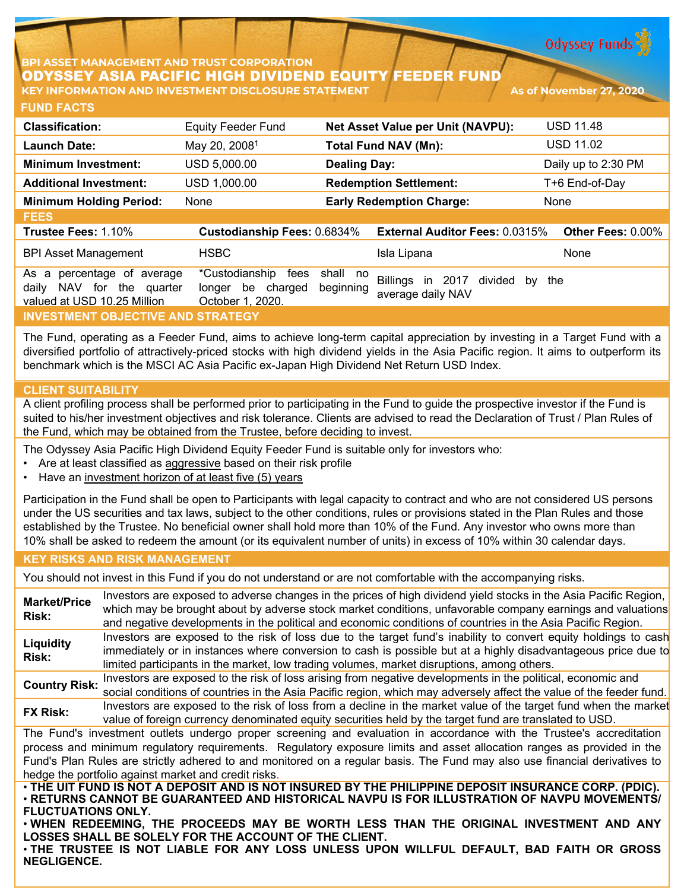**Odyssey Funds** 

## **PI ASSET MANAGEMENT AND TRUST CORPORATION** ODYSSEY ASIA PACIFIC HIGH DIVIDEND EQUITY FEEDER FUND **KEY INFORMATION AND INVESTMENT DISCLOSURE STATEMENT As of November 27, 2020**

| <b>FUND FACTS</b>                                                                            |                                                                       |                       |                                                                     |                          |  |
|----------------------------------------------------------------------------------------------|-----------------------------------------------------------------------|-----------------------|---------------------------------------------------------------------|--------------------------|--|
| <b>Classification:</b>                                                                       | <b>Equity Feeder Fund</b>                                             |                       | Net Asset Value per Unit (NAVPU):                                   | <b>USD 11.48</b>         |  |
| <b>Launch Date:</b>                                                                          | May 20, 2008 <sup>1</sup>                                             |                       | <b>Total Fund NAV (Mn):</b>                                         | <b>USD 11.02</b>         |  |
| <b>Minimum Investment:</b>                                                                   | USD 5,000.00                                                          | <b>Dealing Day:</b>   |                                                                     | Daily up to 2:30 PM      |  |
| <b>Additional Investment:</b>                                                                | USD 1,000.00                                                          |                       | <b>Redemption Settlement:</b>                                       | T+6 End-of-Day           |  |
| <b>Minimum Holding Period:</b>                                                               | None                                                                  |                       | <b>Early Redemption Charge:</b>                                     | None                     |  |
| <b>FEES</b>                                                                                  |                                                                       |                       |                                                                     |                          |  |
| Trustee Fees: 1.10%                                                                          | <b>Custodianship Fees: 0.6834%</b>                                    |                       | <b>External Auditor Fees: 0.0315%</b>                               | <b>Other Fees: 0.00%</b> |  |
| <b>BPI Asset Management</b>                                                                  | <b>HSBC</b>                                                           |                       | Isla Lipana                                                         | None                     |  |
| percentage of average<br>As a<br>NAV for the quarter<br>daily<br>valued at USD 10.25 Million | *Custodianship<br>fees<br>be<br>charged<br>longer<br>October 1, 2020. | shall no<br>beginning | <b>Billings</b><br>2017<br>divided<br>in<br>by<br>average daily NAV | the                      |  |
| <u>INVESTMENT OBJECTIVE AND STRATEGY</u>                                                     |                                                                       |                       |                                                                     |                          |  |

The Fund, operating as a Feeder Fund, aims to achieve long-term capital appreciation by investing in a Target Fund with a diversified portfolio of attractively-priced stocks with high dividend yields in the Asia Pacific region. It aims to outperform its benchmark which is the MSCI AC Asia Pacific ex-Japan High Dividend Net Return USD Index.

## **CLIENT SUITABILITY**

A client profiling process shall be performed prior to participating in the Fund to guide the prospective investor if the Fund is suited to his/her investment objectives and risk tolerance. Clients are advised to read the Declaration of Trust / Plan Rules of the Fund, which may be obtained from the Trustee, before deciding to invest.

The Odyssey Asia Pacific High Dividend Equity Feeder Fund is suitable only for investors who:

- Are at least classified as aggressive based on their risk profile
- Have an investment horizon of at least five (5) years

Participation in the Fund shall be open to Participants with legal capacity to contract and who are not considered US persons under the US securities and tax laws, subject to the other conditions, rules or provisions stated in the Plan Rules and those established by the Trustee. No beneficial owner shall hold more than 10% of the Fund. Any investor who owns more than 10% shall be asked to redeem the amount (or its equivalent number of units) in excess of 10% within 30 calendar days.

### **KEY RISKS AND RISK MANAGEMENT**

You should not invest in this Fund if you do not understand or are not comfortable with the accompanying risks.

**Market/Price Risk:** Investors are exposed to adverse changes in the prices of high dividend yield stocks in the Asia Pacific Region, which may be brought about by adverse stock market conditions, unfavorable company earnings and valuations and negative developments in the political and economic conditions of countries in the Asia Pacific Region. **Liquidity Risk:** Investors are exposed to the risk of loss due to the target fund's inability to convert equity holdings to cash immediately or in instances where conversion to cash is possible but at a highly disadvantageous price due to limited participants in the market, low trading volumes, market disruptions, among others. **Country Risk:** Investors are exposed to the risk of loss arising from negative developments in the political, economic and social conditions of countries in the Asia Pacific region, which may adversely affect the value of the feeder fund. **FX Risk:** Investors are exposed to the risk of loss from a decline in the market value of the target fund when the market value of foreign currency denominated equity securities held by the target fund are translated to USD. The Fund's investment outlets undergo proper screening and evaluation in accordance with the Trustee's accreditation process and minimum regulatory requirements. Regulatory exposure limits and asset allocation ranges as provided in the Fund's Plan Rules are strictly adhered to and monitored on a regular basis. The Fund may also use financial derivatives to hedge the portfolio against market and credit risks. . THE UIT FUND IS NOT A DEPOSIT AND IS NOT INSURED BY THE PHILIPPINE DEPOSIT INSURANCE CORP. (PDIC). • **RETURNS CANNOT BE GUARANTEED AND HISTORICAL NAVPU IS FOR ILLUSTRATION OF NAVPU MOVEMENTS/ FLUCTUATIONS ONLY.**

• **WHEN REDEEMING, THE PROCEEDS MAY BE WORTH LESS THAN THE ORIGINAL INVESTMENT AND ANY LOSSES SHALL BE SOLELY FOR THE ACCOUNT OF THE CLIENT.**

• **THE TRUSTEE IS NOT LIABLE FOR ANY LOSS UNLESS UPON WILLFUL DEFAULT, BAD FAITH OR GROSS NEGLIGENCE.**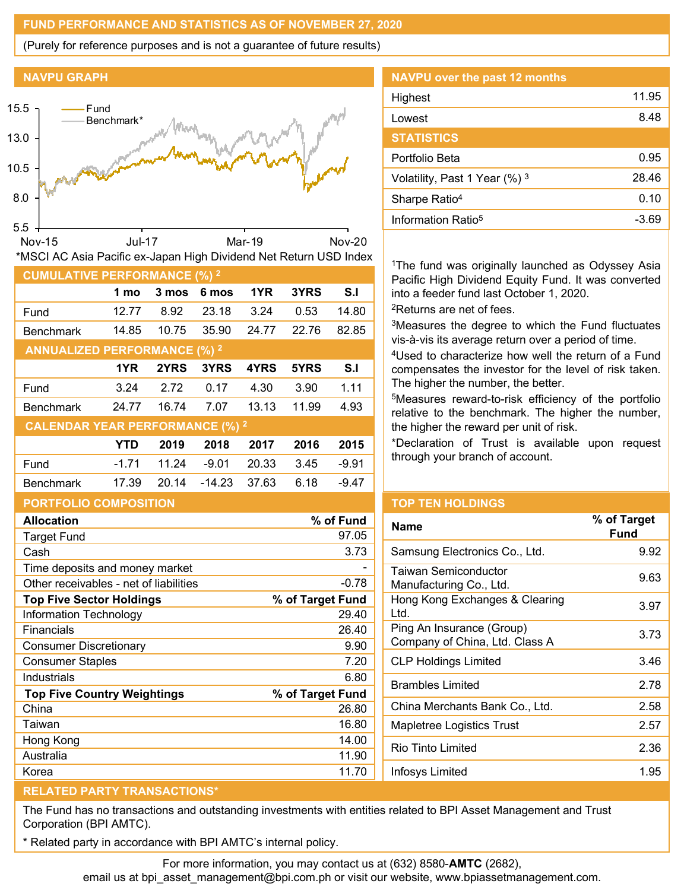## **FUND PERFORMANCE AND STATISTICS AS OF NOVEMBER 27, 2020**

(Purely for reference purposes and is not a guarantee of future results)

## **NAVPU GRAPH**



## **PORTFOLIO COMPOSITION**

| <b>Allocation</b>                      | % of Fund        |
|----------------------------------------|------------------|
| Target Fund                            | 97.05            |
| Cash                                   | 3.73             |
| Time deposits and money market         |                  |
| Other receivables - net of liabilities | $-0.78$          |
| <b>Top Five Sector Holdings</b>        | % of Target Fund |
| Information Technology                 | 29.40            |
| Financials                             | 26.40            |
| Consumer Discretionary                 | 9.90             |
| <b>Consumer Staples</b>                | 7.20             |
| Industrials                            | 6.80             |
| <b>Top Five Country Weightings</b>     | % of Target Fund |
| China                                  | 26.80            |
| Taiwan                                 | 16.80            |
| Hong Kong                              | 14.00            |
| Australia                              | 11.90            |
| Korea                                  | 11.70            |

# **NAVPU over the past 12 months** Highest 11.95 Lowest 8.48 **STATISTICS** Portfolio Beta 0.95 Volatility, Past 1 Year  $(\%)$ <sup>3</sup> 28.46 Sharpe Ratio<sup>4</sup> 0.10 Information  $Ratio^5$   $-3.69$

<sup>1</sup>The fund was originally launched as Odyssey Asia Pacific High Dividend Equity Fund. It was converted into a feeder fund last October 1, 2020.

2Returns are net of fees.

3Measures the degree to which the Fund fluctuates vis-à-vis its average return over a period of time.

4Used to characterize how well the return of a Fund compensates the investor for the level of risk taken. The higher the number, the better.

5Measures reward-to-risk efficiency of the portfolio relative to the benchmark. The higher the number, the higher the reward per unit of risk.

\*Declaration of Trust is available upon request through your branch of account.

## **TOP TEN HOLDINGS**

| <b>Name</b>                                                 | % of Target<br>Fund |
|-------------------------------------------------------------|---------------------|
| Samsung Electronics Co., Ltd.                               | 9.92                |
| Taiwan Semiconductor<br>Manufacturing Co., Ltd.             | 9.63                |
| Hong Kong Exchanges & Clearing<br>Ltd.                      | 3.97                |
| Ping An Insurance (Group)<br>Company of China, Ltd. Class A | 3.73                |
| CLP Holdings Limited                                        | 3.46                |
| <b>Brambles Limited</b>                                     | 2.78                |
| China Merchants Bank Co., Ltd.                              | 2.58                |
| Mapletree Logistics Trust                                   | 2.57                |
| Rio Tinto Limited                                           | 2.36                |
| Infosys Limited                                             | 1.95                |
|                                                             |                     |

# **RELATED PARTY TRANSACTIONS\***

The Fund has no transactions and outstanding investments with entities related to BPI Asset Management and Trust Corporation (BPI AMTC).

Related party in accordance with BPI AMTC's internal policy.

For more information, you may contact us at (632) 8580-**AMTC** (2682),

email us at bpi\_asset\_management@bpi.com.ph or visit our website, www.bpiassetmanagement.com.